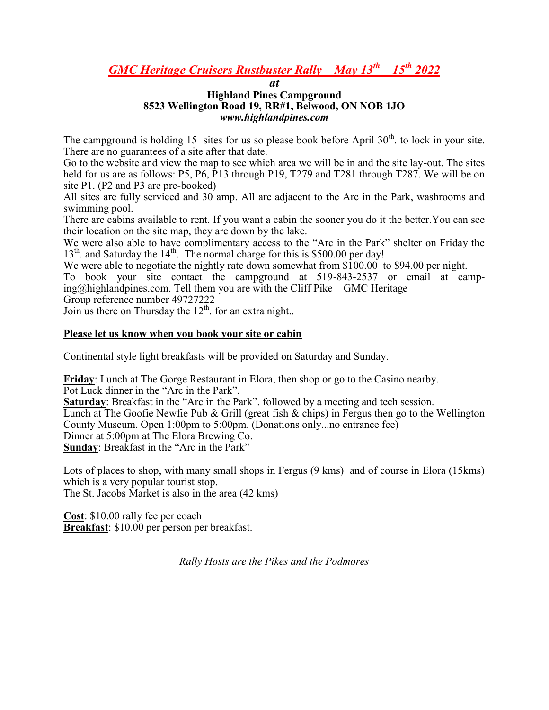## *GMC Heritage Cruisers Rustbuster Rally – May 13th – 15th 2022*

## *at* **Highland Pines Campground 8523 Wellington Road 19, RR#1, Belwood, ON NOB 1JO** *www.highlandpines.com*

The campground is holding 15 sites for us so please book before April  $30<sup>th</sup>$  to lock in your site. There are no guarantees of a site after that date.

Go to the website and view the map to see which area we will be in and the site lay-out. The sites held for us are as follows: P5, P6, P13 through P19, T279 and T281 through T287. We will be on site P1. (P2 and P3 are pre-booked)

All sites are fully serviced and 30 amp. All are adjacent to the Arc in the Park, washrooms and swimming pool.

There are cabins available to rent. If you want a cabin the sooner you do it the better.You can see their location on the site map, they are down by the lake.

We were also able to have complimentary access to the "Arc in the Park" shelter on Friday the  $13<sup>th</sup>$ . and Saturday the  $14<sup>th</sup>$ . The normal charge for this is \$500.00 per day!

We were able to negotiate the nightly rate down somewhat from \$100.00 to \$94.00 per night.

To book your site contact the campground at 519-843-2537 or email at camp $ing@highlandpines.com.$  Tell them you are with the Cliff Pike – GMC Heritage

Group reference number 49727222

Join us there on Thursday the  $12<sup>th</sup>$ . for an extra night..

## **Please let us know when you book your site or cabin**

Continental style light breakfasts will be provided on Saturday and Sunday.

**Friday**: Lunch at The Gorge Restaurant in Elora, then shop or go to the Casino nearby.

Pot Luck dinner in the "Arc in the Park".

**Saturday**: Breakfast in the "Arc in the Park". followed by a meeting and tech session.

Lunch at The Goofie Newfie Pub & Grill (great fish & chips) in Fergus then go to the Wellington County Museum. Open 1:00pm to 5:00pm. (Donations only...no entrance fee)

Dinner at 5:00pm at The Elora Brewing Co.

**Sunday**: Breakfast in the "Arc in the Park"

Lots of places to shop, with many small shops in Fergus (9 kms) and of course in Elora (15kms) which is a very popular tourist stop.

The St. Jacobs Market is also in the area (42 kms)

**Cost**: \$10.00 rally fee per coach **Breakfast**: \$10.00 per person per breakfast.

*Rally Hosts are the Pikes and the Podmores*